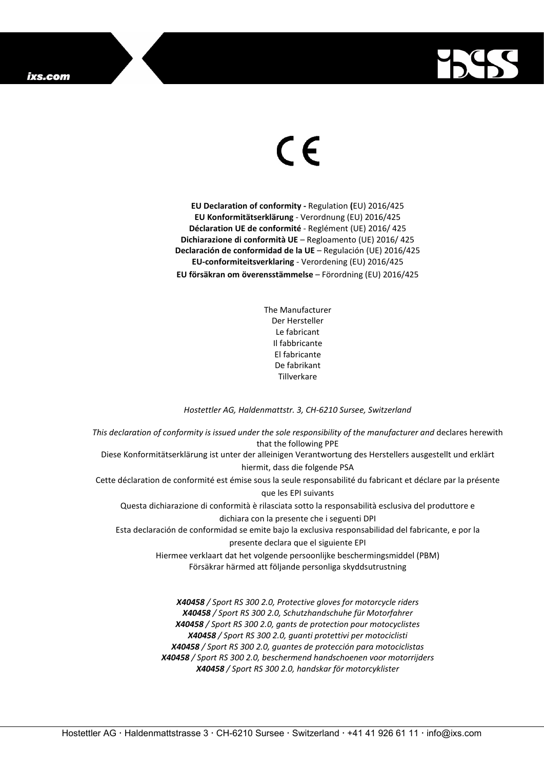

# $\epsilon$

**EU Declaration of conformity -** Regulation **(**EU) 2016/425 **EU Konformitätserklärung** - Verordnung (EU) 2016/425 **Déclaration UE de conformité** - Reglément (UE) 2016/ 425 **Dichiarazione di conformità UE** – Regloamento (UE) 2016/ 425 **Declaración de conformidad de la UE** – Regulación (UE) 2016/425 **EU-conformiteitsverklaring** - Verordening (EU) 2016/425 **EU försäkran om överensstämmelse** – Förordning (EU) 2016/425

> The Manufacturer Der Hersteller Le fabricant Il fabbricante El fabricante De fabrikant Tillverkare

#### *Hostettler AG, Haldenmattstr. 3, CH-6210 Sursee, Switzerland*

*This declaration of conformity is issued under the sole responsibility of the manufacturer and* declares herewith that the following PPE Diese Konformitätserklärung ist unter der alleinigen Verantwortung des Herstellers ausgestellt und erklärt hiermit, dass die folgende PSA Cette déclaration de conformité est émise sous la seule responsabilité du fabricant et déclare par la présente que les EPI suivants Questa dichiarazione di conformità è rilasciata sotto la responsabilità esclusiva del produttore e dichiara con la presente che i seguenti DPI Esta declaración de conformidad se emite bajo la exclusiva responsabilidad del fabricante, e por la presente declara que el siguiente EPI Hiermee verklaart dat het volgende persoonlijke beschermingsmiddel (PBM) Försäkrar härmed att följande personliga skyddsutrustning *X40458 / Sport RS 300 2.0, Protective gloves for motorcycle riders X40458 / Sport RS 300 2.0, Schutzhandschuhe für Motorfahrer X40458 / Sport RS 300 2.0, gants de protection pour motocyclistes*

> *X40458 / Sport RS 300 2.0, guantes de protección para motociclistas X40458 / Sport RS 300 2.0, beschermend handschoenen voor motorrijders*

*X40458 / Sport RS 300 2.0, handskar för motorcyklister*

*X40458 / Sport RS 300 2.0, guanti protettivi per motociclisti*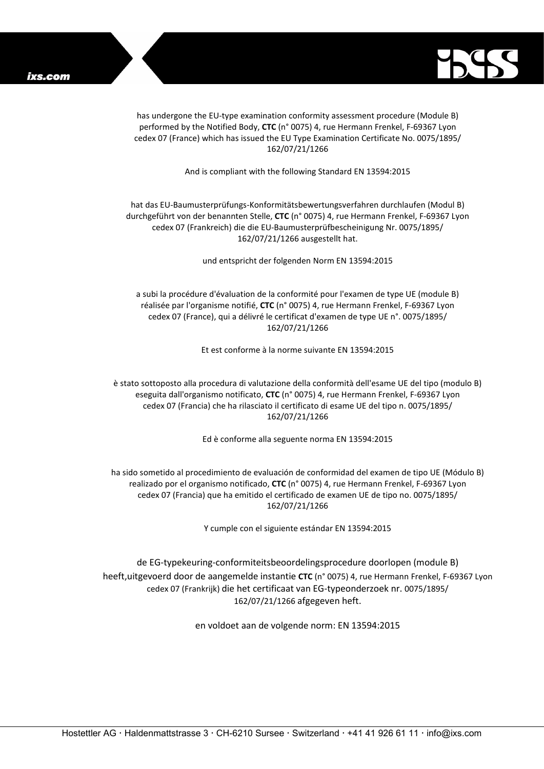

has undergone the EU-type examination conformity assessment procedure (Module B) performed by the Notified Body, **CTC** (n° 0075) 4, rue Hermann Frenkel, F-69367 Lyon cedex 07 (France) which has issued the EU Type Examination Certificate No. 0075/1895/ 162/07/21/1266

And is compliant with the following Standard EN 13594:2015

#### hat das EU-Baumusterprüfungs-Konformitätsbewertungsverfahren durchlaufen (Modul B) durchgeführt von der benannten Stelle, **CTC** (n° 0075) 4, rue Hermann Frenkel, F-69367 Lyon cedex 07 (Frankreich) die die EU-Baumusterprüfbescheinigung Nr. 0075/1895/ 162/07/21/1266 ausgestellt hat.

und entspricht der folgenden Norm EN 13594:2015

a subi la procédure d'évaluation de la conformité pour l'examen de type UE (module B) réalisée par l'organisme notifié, **CTC** (n° 0075) 4, rue Hermann Frenkel, F-69367 Lyon cedex 07 (France), qui a délivré le certificat d'examen de type UE n°. 0075/1895/ 162/07/21/1266

Et est conforme à la norme suivante EN 13594:2015

è stato sottoposto alla procedura di valutazione della conformità dell'esame UE del tipo (modulo B) eseguita dall'organismo notificato, **CTC** (n° 0075) 4, rue Hermann Frenkel, F-69367 Lyon cedex 07 (Francia) che ha rilasciato il certificato di esame UE del tipo n. 0075/1895/ 162/07/21/1266

Ed è conforme alla seguente norma EN 13594:2015

ha sido sometido al procedimiento de evaluación de conformidad del examen de tipo UE (Módulo B) realizado por el organismo notificado, **CTC** (n° 0075) 4, rue Hermann Frenkel, F-69367 Lyon cedex 07 (Francia) que ha emitido el certificado de examen UE de tipo no. 0075/1895/ 162/07/21/1266

Y cumple con el siguiente estándar EN 13594:2015

de EG-typekeuring-conformiteitsbeoordelingsprocedure doorlopen (module B) heeft,uitgevoerd door de aangemelde instantie **CTC** (n° 0075) 4, rue Hermann Frenkel, F-69367 Lyon cedex 07 (Frankrijk) die het certificaat van EG-typeonderzoek nr. 0075/1895/ 162/07/21/1266 afgegeven heft.

en voldoet aan de volgende norm: EN 13594:2015